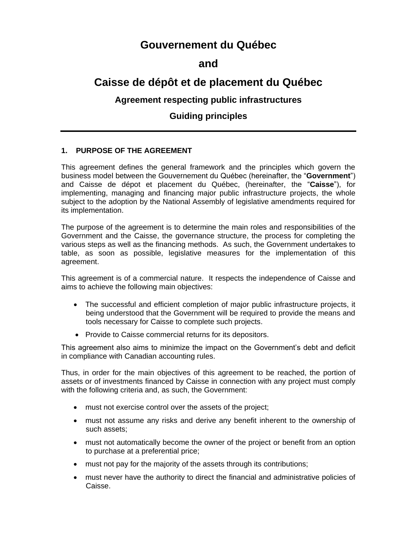## **Gouvernement du Québec**

## **and**

# **Caisse de dépôt et de placement du Québec**

## **Agreement respecting public infrastructures**

## **Guiding principles**

## **1. PURPOSE OF THE AGREEMENT**

This agreement defines the general framework and the principles which govern the business model between the Gouvernement du Québec (hereinafter, the "**Government**") and Caisse de dépot et placement du Québec, (hereinafter, the "**Caisse**"), for implementing, managing and financing major public infrastructure projects, the whole subject to the adoption by the National Assembly of legislative amendments required for its implementation.

The purpose of the agreement is to determine the main roles and responsibilities of the Government and the Caisse, the governance structure, the process for completing the various steps as well as the financing methods. As such, the Government undertakes to table, as soon as possible, legislative measures for the implementation of this agreement.

This agreement is of a commercial nature. It respects the independence of Caisse and aims to achieve the following main objectives:

- The successful and efficient completion of major public infrastructure projects, it being understood that the Government will be required to provide the means and tools necessary for Caisse to complete such projects.
- Provide to Caisse commercial returns for its depositors.

This agreement also aims to minimize the impact on the Government's debt and deficit in compliance with Canadian accounting rules.

Thus, in order for the main objectives of this agreement to be reached, the portion of assets or of investments financed by Caisse in connection with any project must comply with the following criteria and, as such, the Government:

- must not exercise control over the assets of the project;
- must not assume any risks and derive any benefit inherent to the ownership of such assets;
- must not automatically become the owner of the project or benefit from an option to purchase at a preferential price;
- must not pay for the majority of the assets through its contributions;
- must never have the authority to direct the financial and administrative policies of Caisse.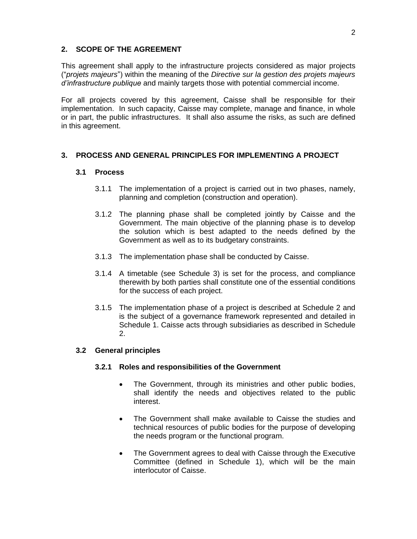### **2. SCOPE OF THE AGREEMENT**

This agreement shall apply to the infrastructure projects considered as major projects ("*projets majeurs*") within the meaning of the *Directive sur la gestion des projets majeurs d'infrastructure publique* and mainly targets those with potential commercial income.

For all projects covered by this agreement, Caisse shall be responsible for their implementation. In such capacity, Caisse may complete, manage and finance, in whole or in part, the public infrastructures. It shall also assume the risks, as such are defined in this agreement.

## **3. PROCESS AND GENERAL PRINCIPLES FOR IMPLEMENTING A PROJECT**

## **3.1 Process**

- 3.1.1 The implementation of a project is carried out in two phases, namely, planning and completion (construction and operation).
- 3.1.2 The planning phase shall be completed jointly by Caisse and the Government. The main objective of the planning phase is to develop the solution which is best adapted to the needs defined by the Government as well as to its budgetary constraints.
- 3.1.3 The implementation phase shall be conducted by Caisse.
- 3.1.4 A timetable (see Schedule 3) is set for the process, and compliance therewith by both parties shall constitute one of the essential conditions for the success of each project.
- 3.1.5 The implementation phase of a project is described at Schedule 2 and is the subject of a governance framework represented and detailed in Schedule 1. Caisse acts through subsidiaries as described in Schedule 2.

#### **3.2 General principles**

#### **3.2.1 Roles and responsibilities of the Government**

- The Government, through its ministries and other public bodies, shall identify the needs and objectives related to the public interest.
- The Government shall make available to Caisse the studies and technical resources of public bodies for the purpose of developing the needs program or the functional program.
- The Government agrees to deal with Caisse through the Executive Committee (defined in Schedule 1), which will be the main interlocutor of Caisse.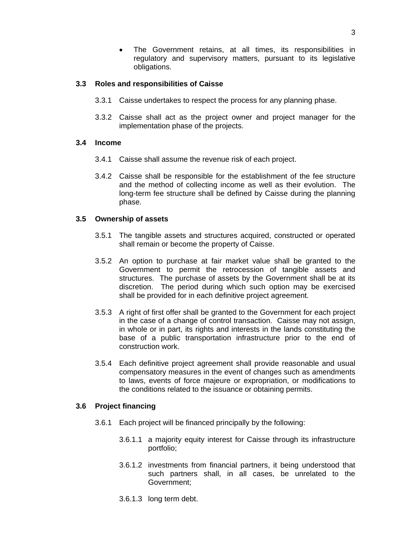The Government retains, at all times, its responsibilities in regulatory and supervisory matters, pursuant to its legislative obligations.

## **3.3 Roles and responsibilities of Caisse**

- 3.3.1 Caisse undertakes to respect the process for any planning phase.
- 3.3.2 Caisse shall act as the project owner and project manager for the implementation phase of the projects.

#### **3.4 Income**

- 3.4.1 Caisse shall assume the revenue risk of each project.
- 3.4.2 Caisse shall be responsible for the establishment of the fee structure and the method of collecting income as well as their evolution. The long-term fee structure shall be defined by Caisse during the planning phase.

### **3.5 Ownership of assets**

- 3.5.1 The tangible assets and structures acquired, constructed or operated shall remain or become the property of Caisse.
- 3.5.2 An option to purchase at fair market value shall be granted to the Government to permit the retrocession of tangible assets and structures. The purchase of assets by the Government shall be at its discretion. The period during which such option may be exercised shall be provided for in each definitive project agreement.
- 3.5.3 A right of first offer shall be granted to the Government for each project in the case of a change of control transaction. Caisse may not assign, in whole or in part, its rights and interests in the lands constituting the base of a public transportation infrastructure prior to the end of construction work.
- 3.5.4 Each definitive project agreement shall provide reasonable and usual compensatory measures in the event of changes such as amendments to laws, events of force majeure or expropriation, or modifications to the conditions related to the issuance or obtaining permits.

#### **3.6 Project financing**

- 3.6.1 Each project will be financed principally by the following:
	- 3.6.1.1 a majority equity interest for Caisse through its infrastructure portfolio;
	- 3.6.1.2 investments from financial partners, it being understood that such partners shall, in all cases, be unrelated to the Government;
	- 3.6.1.3 long term debt.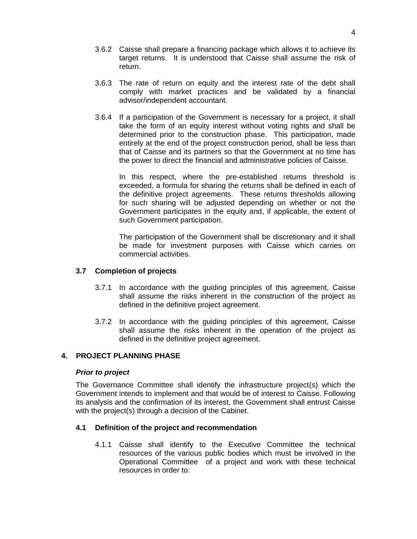- 3.6.2 Caisse shall prepare a financing package which allows it to achieve its target returns. It is understood that Caisse shall assume the risk of return.
- 3.6.3 The rate of return on equity and the interest rate of the debt shall comply with market practices and be validated by a financial advisor/independent accountant.
- 3.6.4 If a participation of the Government is necessary for a project, it shall take the form of an equity interest without voting rights and shall be determined prior to the construction phase. This participation, made entirely at the end of the project construction period, shall be less than that of Caisse and its partners so that the Government at no time has the power to direct the financial and administrative policies of Caisse.

In this respect, where the pre-established returns threshold is exceeded, a formula for sharing the returns shall be defined in each of the definitive project agreements. These returns thresholds allowing for such sharing will be adjusted depending on whether or not the Government participates in the equity and, if applicable, the extent of such Government participation.

The participation of the Government shall be discretionary and it shall be made for investment purposes with Caisse which carries on commercial activities.

#### **3.7 Completion of projects**

- 3.7.1 In accordance with the guiding principles of this agreement, Caisse shall assume the risks inherent in the construction of the project as defined in the definitive project agreement.
- 3.7.2 In accordance with the guiding principles of this agreement, Caisse shall assume the risks inherent in the operation of the project as defined in the definitive project agreement.

## **4. PROJECT PLANNING PHASE**

#### *Prior to project*

The Governance Committee shall identify the infrastructure project(s) which the Government intends to implement and that would be of interest to Caisse. Following its analysis and the confirmation of its interest, the Government shall entrust Caisse with the project(s) through a decision of the Cabinet.

#### **4.1 Definition of the project and recommendation**

4.1.1 Caisse shall identify to the Executive Committee the technical resources of the various public bodies which must be involved in the Operational Committee of a project and work with these technical resources in order to: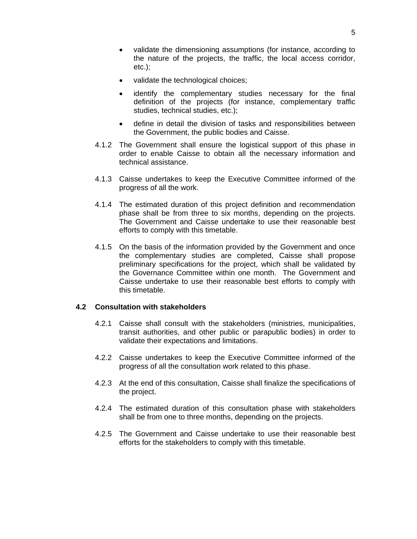- validate the dimensioning assumptions (for instance, according to the nature of the projects, the traffic, the local access corridor, etc.);
- validate the technological choices;
- identify the complementary studies necessary for the final definition of the projects (for instance, complementary traffic studies, technical studies, etc.);
- define in detail the division of tasks and responsibilities between the Government, the public bodies and Caisse.
- 4.1.2 The Government shall ensure the logistical support of this phase in order to enable Caisse to obtain all the necessary information and technical assistance.
- 4.1.3 Caisse undertakes to keep the Executive Committee informed of the progress of all the work.
- 4.1.4 The estimated duration of this project definition and recommendation phase shall be from three to six months, depending on the projects. The Government and Caisse undertake to use their reasonable best efforts to comply with this timetable.
- 4.1.5 On the basis of the information provided by the Government and once the complementary studies are completed, Caisse shall propose preliminary specifications for the project, which shall be validated by the Governance Committee within one month. The Government and Caisse undertake to use their reasonable best efforts to comply with this timetable.

#### **4.2 Consultation with stakeholders**

- 4.2.1 Caisse shall consult with the stakeholders (ministries, municipalities, transit authorities, and other public or parapublic bodies) in order to validate their expectations and limitations.
- 4.2.2 Caisse undertakes to keep the Executive Committee informed of the progress of all the consultation work related to this phase.
- 4.2.3 At the end of this consultation, Caisse shall finalize the specifications of the project.
- 4.2.4 The estimated duration of this consultation phase with stakeholders shall be from one to three months, depending on the projects.
- 4.2.5 The Government and Caisse undertake to use their reasonable best efforts for the stakeholders to comply with this timetable.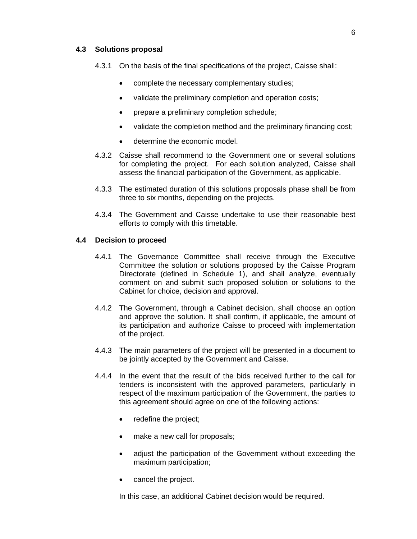#### **4.3 Solutions proposal**

4.3.1 On the basis of the final specifications of the project, Caisse shall:

- complete the necessary complementary studies;
- validate the preliminary completion and operation costs;
- prepare a preliminary completion schedule;
- validate the completion method and the preliminary financing cost;
- determine the economic model.
- 4.3.2 Caisse shall recommend to the Government one or several solutions for completing the project. For each solution analyzed, Caisse shall assess the financial participation of the Government, as applicable.
- 4.3.3 The estimated duration of this solutions proposals phase shall be from three to six months, depending on the projects.
- 4.3.4 The Government and Caisse undertake to use their reasonable best efforts to comply with this timetable.

#### **4.4 Decision to proceed**

- 4.4.1 The Governance Committee shall receive through the Executive Committee the solution or solutions proposed by the Caisse Program Directorate (defined in Schedule 1), and shall analyze, eventually comment on and submit such proposed solution or solutions to the Cabinet for choice, decision and approval.
- 4.4.2 The Government, through a Cabinet decision, shall choose an option and approve the solution. It shall confirm, if applicable, the amount of its participation and authorize Caisse to proceed with implementation of the project.
- 4.4.3 The main parameters of the project will be presented in a document to be jointly accepted by the Government and Caisse.
- 4.4.4 In the event that the result of the bids received further to the call for tenders is inconsistent with the approved parameters, particularly in respect of the maximum participation of the Government, the parties to this agreement should agree on one of the following actions:
	- redefine the project;
	- make a new call for proposals;
	- adjust the participation of the Government without exceeding the maximum participation;
	- cancel the project.

In this case, an additional Cabinet decision would be required.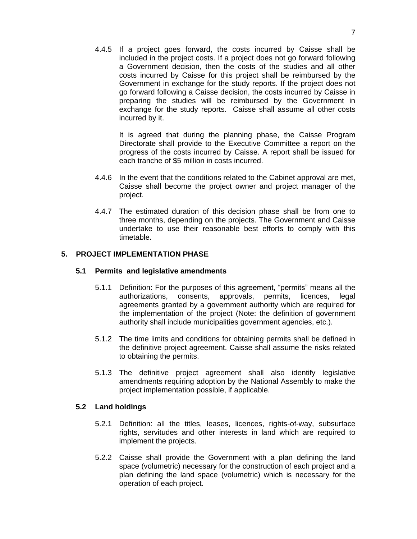4.4.5 If a project goes forward, the costs incurred by Caisse shall be included in the project costs. If a project does not go forward following a Government decision, then the costs of the studies and all other costs incurred by Caisse for this project shall be reimbursed by the Government in exchange for the study reports. If the project does not go forward following a Caisse decision, the costs incurred by Caisse in preparing the studies will be reimbursed by the Government in exchange for the study reports. Caisse shall assume all other costs incurred by it.

It is agreed that during the planning phase, the Caisse Program Directorate shall provide to the Executive Committee a report on the progress of the costs incurred by Caisse. A report shall be issued for each tranche of \$5 million in costs incurred.

- 4.4.6 In the event that the conditions related to the Cabinet approval are met, Caisse shall become the project owner and project manager of the project.
- 4.4.7 The estimated duration of this decision phase shall be from one to three months, depending on the projects. The Government and Caisse undertake to use their reasonable best efforts to comply with this timetable.

## **5. PROJECT IMPLEMENTATION PHASE**

#### **5.1 Permits and legislative amendments**

- 5.1.1 Definition: For the purposes of this agreement, "permits" means all the authorizations, consents, approvals, permits, licences, legal agreements granted by a government authority which are required for the implementation of the project (Note: the definition of government authority shall include municipalities government agencies, etc.).
- 5.1.2 The time limits and conditions for obtaining permits shall be defined in the definitive project agreement. Caisse shall assume the risks related to obtaining the permits.
- 5.1.3 The definitive project agreement shall also identify legislative amendments requiring adoption by the National Assembly to make the project implementation possible, if applicable.

#### **5.2 Land holdings**

- 5.2.1 Definition: all the titles, leases, licences, rights-of-way, subsurface rights, servitudes and other interests in land which are required to implement the projects.
- 5.2.2 Caisse shall provide the Government with a plan defining the land space (volumetric) necessary for the construction of each project and a plan defining the land space (volumetric) which is necessary for the operation of each project.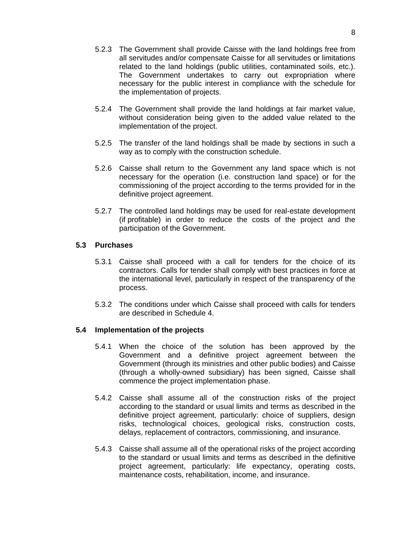- 5.2.3 The Government shall provide Caisse with the land holdings free from all servitudes and/or compensate Caisse for all servitudes or limitations related to the land holdings (public utilities, contaminated soils, etc.). The Government undertakes to carry out expropriation where necessary for the public interest in compliance with the schedule for the implementation of projects.
- 5.2.4 The Government shall provide the land holdings at fair market value, without consideration being given to the added value related to the implementation of the project.
- 5.2.5 The transfer of the land holdings shall be made by sections in such a way as to comply with the construction schedule.
- 5.2.6 Caisse shall return to the Government any land space which is not necessary for the operation (i.e. construction land space) or for the commissioning of the project according to the terms provided for in the definitive project agreement.
- 5.2.7 The controlled land holdings may be used for real-estate development (if profitable) in order to reduce the costs of the project and the participation of the Government.

### **5.3 Purchases**

- 5.3.1 Caisse shall proceed with a call for tenders for the choice of its contractors. Calls for tender shall comply with best practices in force at the international level, particularly in respect of the transparency of the process.
- 5.3.2 The conditions under which Caisse shall proceed with calls for tenders are described in Schedule 4.

#### **5.4 Implementation of the projects**

- 5.4.1 When the choice of the solution has been approved by the Government and a definitive project agreement between the Government (through its ministries and other public bodies) and Caisse (through a wholly-owned subsidiary) has been signed, Caisse shall commence the project implementation phase.
- 5.4.2 Caisse shall assume all of the construction risks of the project according to the standard or usual limits and terms as described in the definitive project agreement, particularly: choice of suppliers, design risks, technological choices, geological risks, construction costs, delays, replacement of contractors, commissioning, and insurance.
- 5.4.3 Caisse shall assume all of the operational risks of the project according to the standard or usual limits and terms as described in the definitive project agreement, particularly: life expectancy, operating costs, maintenance costs, rehabilitation, income, and insurance.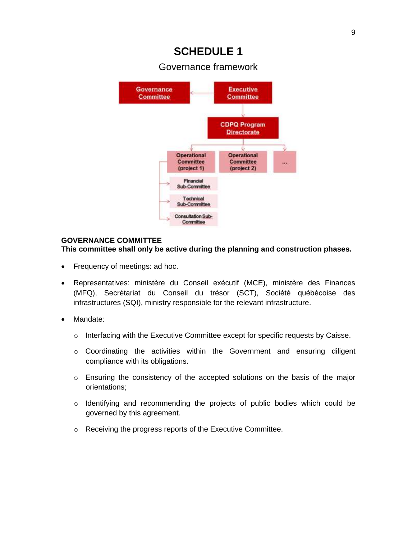Governance framework



## **GOVERNANCE COMMITTEE**

**This committee shall only be active during the planning and construction phases.**

- Frequency of meetings: ad hoc.
- Representatives: ministère du Conseil exécutif (MCE), ministère des Finances (MFQ), Secrétariat du Conseil du trésor (SCT), Société québécoise des infrastructures (SQI), ministry responsible for the relevant infrastructure.
- Mandate:
	- o Interfacing with the Executive Committee except for specific requests by Caisse.
	- o Coordinating the activities within the Government and ensuring diligent compliance with its obligations.
	- $\circ$  Ensuring the consistency of the accepted solutions on the basis of the major orientations;
	- o Identifying and recommending the projects of public bodies which could be governed by this agreement.
	- o Receiving the progress reports of the Executive Committee.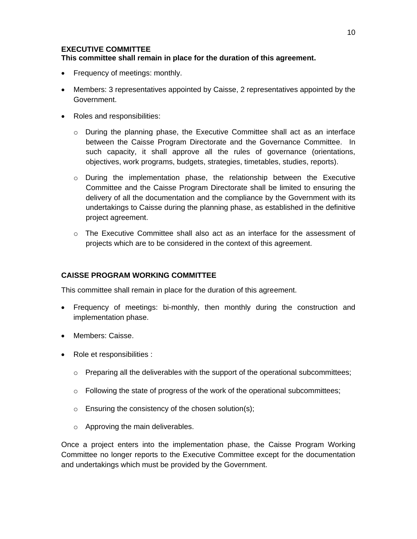### **EXECUTIVE COMMITTEE**

## **This committee shall remain in place for the duration of this agreement.**

- Frequency of meetings: monthly.
- Members: 3 representatives appointed by Caisse, 2 representatives appointed by the Government.
- Roles and responsibilities:
	- $\circ$  During the planning phase, the Executive Committee shall act as an interface between the Caisse Program Directorate and the Governance Committee. In such capacity, it shall approve all the rules of governance (orientations, objectives, work programs, budgets, strategies, timetables, studies, reports).
	- $\circ$  During the implementation phase, the relationship between the Executive Committee and the Caisse Program Directorate shall be limited to ensuring the delivery of all the documentation and the compliance by the Government with its undertakings to Caisse during the planning phase, as established in the definitive project agreement.
	- o The Executive Committee shall also act as an interface for the assessment of projects which are to be considered in the context of this agreement.

## **CAISSE PROGRAM WORKING COMMITTEE**

This committee shall remain in place for the duration of this agreement.

- Frequency of meetings: bi-monthly, then monthly during the construction and implementation phase.
- Members: Caisse.
- Role et responsibilities :
	- $\circ$  Preparing all the deliverables with the support of the operational subcommittees;
	- $\circ$  Following the state of progress of the work of the operational subcommittees;
	- o Ensuring the consistency of the chosen solution(s);
	- o Approving the main deliverables.

Once a project enters into the implementation phase, the Caisse Program Working Committee no longer reports to the Executive Committee except for the documentation and undertakings which must be provided by the Government.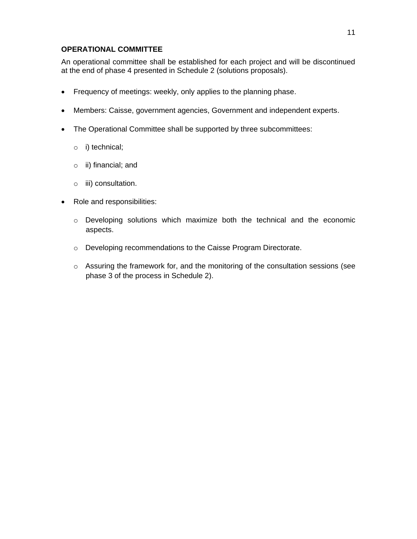### **OPERATIONAL COMMITTEE**

An operational committee shall be established for each project and will be discontinued at the end of phase 4 presented in Schedule 2 (solutions proposals).

- Frequency of meetings: weekly, only applies to the planning phase.
- Members: Caisse, government agencies, Government and independent experts.
- The Operational Committee shall be supported by three subcommittees:
	- o i) technical;
	- o ii) financial; and
	- o iii) consultation.
- Role and responsibilities:
	- o Developing solutions which maximize both the technical and the economic aspects.
	- o Developing recommendations to the Caisse Program Directorate.
	- o Assuring the framework for, and the monitoring of the consultation sessions (see phase 3 of the process in Schedule 2).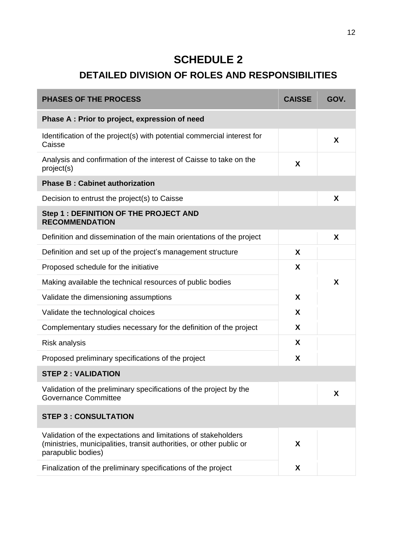# **DETAILED DIVISION OF ROLES AND RESPONSIBILITIES**

| <b>PHASES OF THE PROCESS</b>                                                                                                                                 | <b>CAISSE</b> | GOV. |
|--------------------------------------------------------------------------------------------------------------------------------------------------------------|---------------|------|
| Phase A: Prior to project, expression of need                                                                                                                |               |      |
| Identification of the project(s) with potential commercial interest for<br>Caisse                                                                            |               | X    |
| Analysis and confirmation of the interest of Caisse to take on the<br>project(s)                                                                             | X             |      |
| <b>Phase B: Cabinet authorization</b>                                                                                                                        |               |      |
| Decision to entrust the project(s) to Caisse                                                                                                                 |               | X    |
| Step 1 : DEFINITION OF THE PROJECT AND<br><b>RECOMMENDATION</b>                                                                                              |               |      |
| Definition and dissemination of the main orientations of the project                                                                                         |               | X    |
| Definition and set up of the project's management structure                                                                                                  | X             |      |
| Proposed schedule for the initiative                                                                                                                         | X             |      |
| Making available the technical resources of public bodies                                                                                                    |               | X    |
| Validate the dimensioning assumptions                                                                                                                        | X             |      |
| Validate the technological choices                                                                                                                           | X             |      |
| Complementary studies necessary for the definition of the project                                                                                            | X             |      |
| Risk analysis                                                                                                                                                | X             |      |
| Proposed preliminary specifications of the project                                                                                                           | X             |      |
| <b>STEP 2: VALIDATION</b>                                                                                                                                    |               |      |
| Validation of the preliminary specifications of the project by the<br>Governance Committee                                                                   |               | X    |
| <b>STEP 3 : CONSULTATION</b>                                                                                                                                 |               |      |
| Validation of the expectations and limitations of stakeholders<br>(ministries, municipalities, transit authorities, or other public or<br>parapublic bodies) | X             |      |
| Finalization of the preliminary specifications of the project                                                                                                | X             |      |
|                                                                                                                                                              |               |      |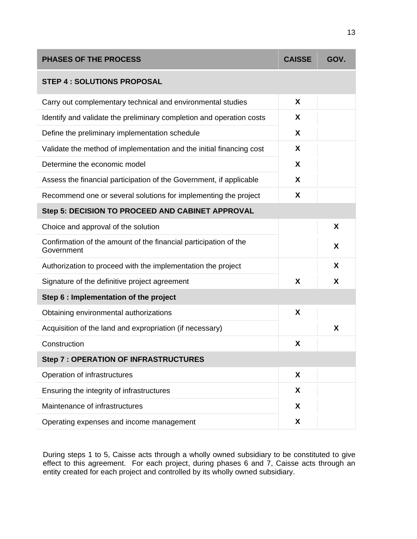| <b>PHASES OF THE PROCESS</b>                                                   | <b>CAISSE</b> | GOV. |  |  |  |
|--------------------------------------------------------------------------------|---------------|------|--|--|--|
| <b>STEP 4 : SOLUTIONS PROPOSAL</b>                                             |               |      |  |  |  |
| Carry out complementary technical and environmental studies                    | X             |      |  |  |  |
| Identify and validate the preliminary completion and operation costs           | X             |      |  |  |  |
| Define the preliminary implementation schedule                                 | X             |      |  |  |  |
| Validate the method of implementation and the initial financing cost           | X             |      |  |  |  |
| Determine the economic model                                                   | X             |      |  |  |  |
| Assess the financial participation of the Government, if applicable            | X             |      |  |  |  |
| Recommend one or several solutions for implementing the project                | X             |      |  |  |  |
| Step 5: DECISION TO PROCEED AND CABINET APPROVAL                               |               |      |  |  |  |
| Choice and approval of the solution                                            |               | X    |  |  |  |
| Confirmation of the amount of the financial participation of the<br>Government |               | X    |  |  |  |
| Authorization to proceed with the implementation the project                   |               | X    |  |  |  |
| Signature of the definitive project agreement                                  | X             | X    |  |  |  |
| Step 6 : Implementation of the project                                         |               |      |  |  |  |
| Obtaining environmental authorizations                                         | X             |      |  |  |  |
| Acquisition of the land and expropriation (if necessary)                       |               | X    |  |  |  |
| Construction                                                                   | X             |      |  |  |  |
| <b>Step 7 : OPERATION OF INFRASTRUCTURES</b>                                   |               |      |  |  |  |
| Operation of infrastructures                                                   | X             |      |  |  |  |
| Ensuring the integrity of infrastructures                                      | X             |      |  |  |  |
| Maintenance of infrastructures                                                 | X             |      |  |  |  |
| Operating expenses and income management                                       | X             |      |  |  |  |

During steps 1 to 5, Caisse acts through a wholly owned subsidiary to be constituted to give effect to this agreement. For each project, during phases 6 and 7, Caisse acts through an entity created for each project and controlled by its wholly owned subsidiary.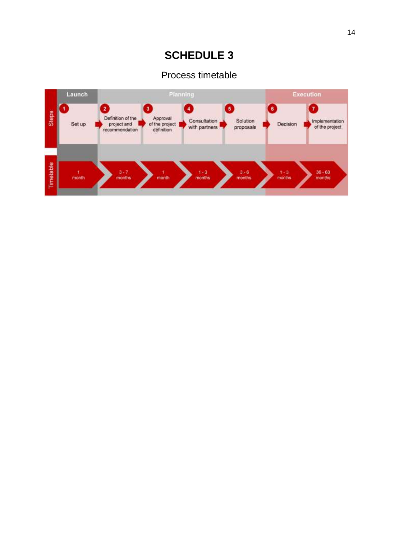## Process timetable

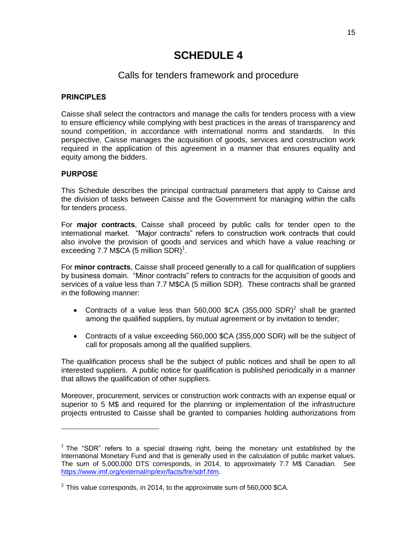## Calls for tenders framework and procedure

### **PRINCIPLES**

Caisse shall select the contractors and manage the calls for tenders process with a view to ensure efficiency while complying with best practices in the areas of transparency and sound competition, in accordance with international norms and standards. In this perspective, Caisse manages the acquisition of goods, services and construction work required in the application of this agreement in a manner that ensures equality and equity among the bidders.

### **PURPOSE**

 $\overline{a}$ 

This Schedule describes the principal contractual parameters that apply to Caisse and the division of tasks between Caisse and the Government for managing within the calls for tenders process.

For **major contracts**, Caisse shall proceed by public calls for tender open to the international market. "Major contracts" refers to construction work contracts that could also involve the provision of goods and services and which have a value reaching or exceeding 7.7 M\$CA (5 million SDR)<sup>1</sup>.

For **minor contracts**, Caisse shall proceed generally to a call for qualification of suppliers by business domain. "Minor contracts" refers to contracts for the acquisition of goods and services of a value less than 7.7 M\$CA (5 million SDR). These contracts shall be granted in the following manner:

- Contracts of a value less than 560,000 \$CA  $(355,000$  SDR)<sup>2</sup> shall be granted among the qualified suppliers, by mutual agreement or by invitation to tender;
- Contracts of a value exceeding 560,000 \$CA (355,000 SDR) will be the subject of call for proposals among all the qualified suppliers.

The qualification process shall be the subject of public notices and shall be open to all interested suppliers. A public notice for qualification is published periodically in a manner that allows the qualification of other suppliers.

Moreover, procurement, services or construction work contracts with an expense equal or superior to 5 M\$ and required for the planning or implementation of the infrastructure projects entrusted to Caisse shall be granted to companies holding authorizations from

 $1$  The "SDR" refers to a special drawing right, being the monetary unit established by the International Monetary Fund and that is generally used in the calculation of public market values. The sum of 5,000,000 DTS corresponds, in 2014, to approximately 7.7 M\$ Canadian. See [https://www.imf.org/external/np/exr/facts/fre/sdrf.htm.](https://www.imf.org/external/np/exr/facts/fre/sdrf.htm)

 $^{2}$  This value corresponds, in 2014, to the approximate sum of 560,000 \$CA.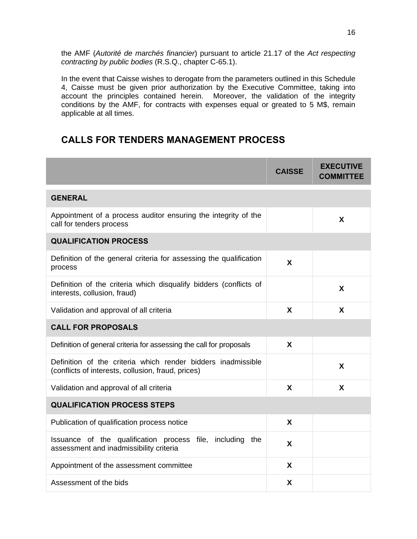the AMF (*Autorité de marchés financier*) pursuant to article 21.17 of the *Act respecting contracting by public bodies* (R.S.Q., chapter C-65.1).

In the event that Caisse wishes to derogate from the parameters outlined in this Schedule 4, Caisse must be given prior authorization by the Executive Committee, taking into account the principles contained herein. Moreover, the validation of the integrity conditions by the AMF, for contracts with expenses equal or greated to 5 M\$, remain applicable at all times.

## **CALLS FOR TENDERS MANAGEMENT PROCESS**

|                                                                                                                    | <b>CAISSE</b> | <b>EXECUTIVE</b><br><b>COMMITTEE</b> |
|--------------------------------------------------------------------------------------------------------------------|---------------|--------------------------------------|
| <b>GENERAL</b>                                                                                                     |               |                                      |
| Appointment of a process auditor ensuring the integrity of the<br>call for tenders process                         |               | X                                    |
| <b>QUALIFICATION PROCESS</b>                                                                                       |               |                                      |
| Definition of the general criteria for assessing the qualification<br>process                                      | X             |                                      |
| Definition of the criteria which disqualify bidders (conflicts of<br>interests, collusion, fraud)                  |               | X                                    |
| Validation and approval of all criteria                                                                            | X             | X                                    |
| <b>CALL FOR PROPOSALS</b>                                                                                          |               |                                      |
| Definition of general criteria for assessing the call for proposals                                                | X             |                                      |
| Definition of the criteria which render bidders inadmissible<br>(conflicts of interests, collusion, fraud, prices) |               | X                                    |
| Validation and approval of all criteria                                                                            | X             | X                                    |
| <b>QUALIFICATION PROCESS STEPS</b>                                                                                 |               |                                      |
| Publication of qualification process notice                                                                        | X             |                                      |
| Issuance of the qualification process file, including the<br>assessment and inadmissibility criteria               | X             |                                      |
| Appointment of the assessment committee                                                                            | X             |                                      |
| Assessment of the bids                                                                                             | X             |                                      |